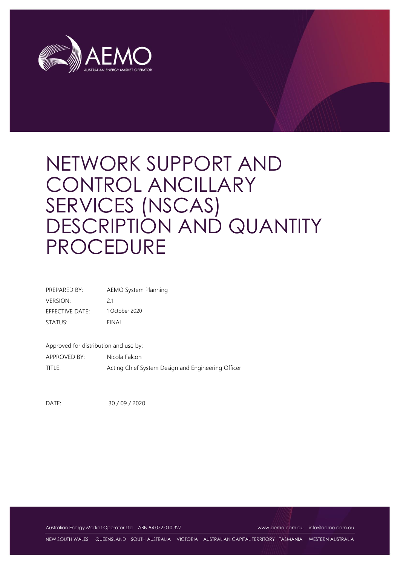

| PREPARED BY:    | <b>AEMO System Planning</b> |
|-----------------|-----------------------------|
| <b>VERSION:</b> | 21                          |
| EFFECTIVE DATE: | 1 October 2020              |
| STATUS:         | FINAL                       |
|                 |                             |

Approved for distribution and use by:

APPROVED BY: Nicola Falcon TITLE: Acting Chief System Design and Engineering Officer

DATE: 30 / 09 / 2020

Australian Energy Market Operator Ltd ABN 94 072 010 327 [www.aemo.com.au](http://www.aemo.com.au/) [info@aemo.com.au](mailto:info@aemo.com.au)

NEW SOUTH WALES QUEENSLAND SOUTH AUSTRALIA VICTORIA AUSTRALIAN CAPITAL TERRITORY TASMANIA WESTERN AUSTRALIA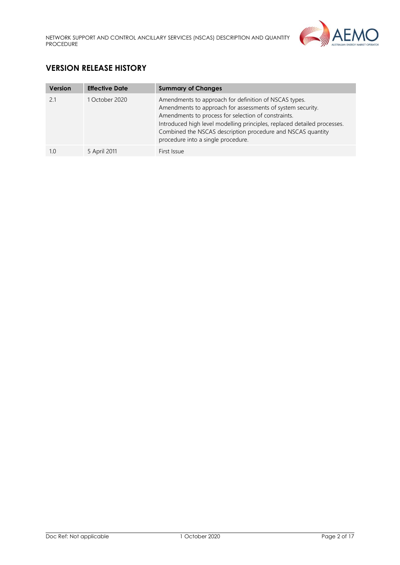

# **VERSION RELEASE HISTORY**

| <b>Version</b> | <b>Effective Date</b> | <b>Summary of Changes</b>                                                                                                                                                                                                                                                                                                                                   |
|----------------|-----------------------|-------------------------------------------------------------------------------------------------------------------------------------------------------------------------------------------------------------------------------------------------------------------------------------------------------------------------------------------------------------|
| 21             | 1 October 2020        | Amendments to approach for definition of NSCAS types.<br>Amendments to approach for assessments of system security.<br>Amendments to process for selection of constraints.<br>Introduced high level modelling principles, replaced detailed processes.<br>Combined the NSCAS description procedure and NSCAS quantity<br>procedure into a single procedure. |
|                | 5 April 2011          | First Issue                                                                                                                                                                                                                                                                                                                                                 |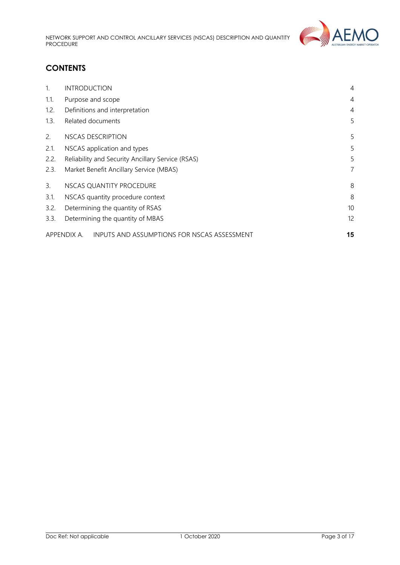

# **CONTENTS**

| $\mathbf{1}$ . | <b>INTRODUCTION</b>                                        | $\overline{4}$ |  |  |
|----------------|------------------------------------------------------------|----------------|--|--|
| 1.1.           | Purpose and scope                                          | $\overline{4}$ |  |  |
| 1.2.           | Definitions and interpretation                             | 4              |  |  |
| 1.3.           | Related documents                                          | 5              |  |  |
| 2.             | NSCAS DESCRIPTION                                          | 5              |  |  |
| 2.1.           | NSCAS application and types                                |                |  |  |
| 2.2.           | Reliability and Security Ancillary Service (RSAS)          |                |  |  |
| 2.3.           | Market Benefit Ancillary Service (MBAS)                    |                |  |  |
| 3.             | NSCAS QUANTITY PROCEDURE                                   | 8              |  |  |
| 3.1.           | 8<br>NSCAS quantity procedure context                      |                |  |  |
| 3.2.           | 10 <sup>°</sup><br>Determining the quantity of RSAS        |                |  |  |
| 3.3.           | 12<br>Determining the quantity of MBAS                     |                |  |  |
|                | INPUTS AND ASSUMPTIONS FOR NSCAS ASSESSMENT<br>APPENDIX A. | 15             |  |  |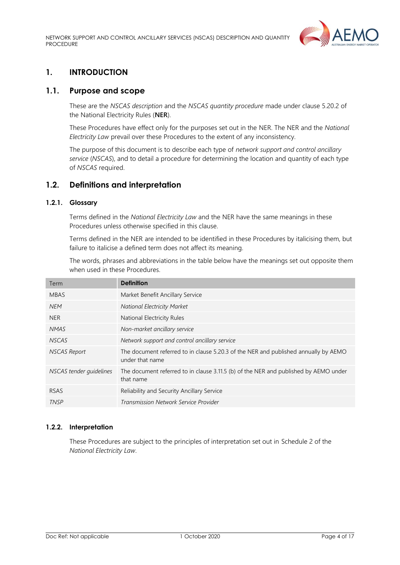

# <span id="page-3-0"></span>**1. INTRODUCTION**

## <span id="page-3-1"></span>**1.1. Purpose and scope**

These are the *NSCAS description* and the *NSCAS quantity procedure* made under clause 5.20.2 of the National Electricity Rules (**NER**).

These Procedures have effect only for the purposes set out in the NER. The NER and the *National Electricity Law* prevail over these Procedures to the extent of any inconsistency.

The purpose of this document is to describe each type of *network support and control ancillary service* (*NSCAS*), and to detail a procedure for determining the location and quantity of each type of *NSCAS* required.

## <span id="page-3-2"></span>**1.2. Definitions and interpretation**

## **1.2.1. Glossary**

Terms defined in the *National Electricity Law* and the NER have the same meanings in these Procedures unless otherwise specified in this clause.

Terms defined in the NER are intended to be identified in these Procedures by italicising them, but failure to italicise a defined term does not affect its meaning.

The words, phrases and abbreviations in the table below have the meanings set out opposite them when used in these Procedures.

| Term                    | <b>Definition</b>                                                                                      |
|-------------------------|--------------------------------------------------------------------------------------------------------|
| <b>MBAS</b>             | Market Benefit Ancillary Service                                                                       |
| <b>NEM</b>              | National Electricity Market                                                                            |
| NER.                    | National Electricity Rules                                                                             |
| <b>NMAS</b>             | Non-market ancillary service                                                                           |
| <b>NSCAS</b>            | Network support and control ancillary service                                                          |
| <b>NSCAS Report</b>     | The document referred to in clause 5.20.3 of the NER and published annually by AEMO<br>under that name |
| NSCAS tender quidelines | The document referred to in clause 3.11.5 (b) of the NER and published by AEMO under<br>that name      |
| <b>RSAS</b>             | Reliability and Security Ancillary Service                                                             |
| <b>TNSP</b>             | Transmission Network Service Provider                                                                  |

#### **1.2.2. Interpretation**

These Procedures are subject to the principles of interpretation set out in Schedule 2 of the *National Electricity Law*.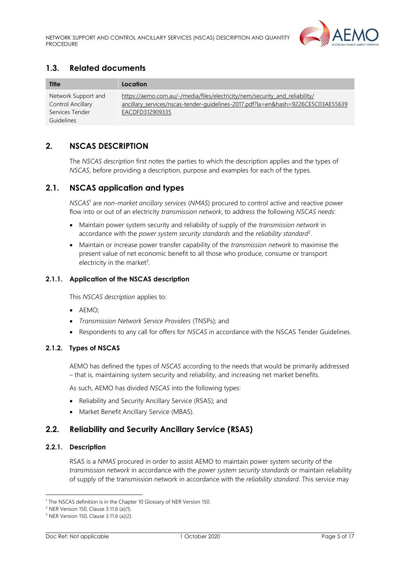

# <span id="page-4-0"></span>**1.3. Related documents**

| <b>Title</b>                                                              | Location                                                                                                                                                                           |
|---------------------------------------------------------------------------|------------------------------------------------------------------------------------------------------------------------------------------------------------------------------------|
| Network Support and<br>Control Ancillary<br>Services Tender<br>Guidelines | https://aemo.com.au/-/media/files/electricity/nem/security_and_reliability/<br>ancillary services/nscas-tender-guidelines-2017.pdf?la=en&hash=9226CE5C03AE55639<br>EACDFD312909335 |

# <span id="page-4-1"></span>**2. NSCAS DESCRIPTION**

The *NSCAS description* first notes the parties to which the description applies and the types of *NSCAS*, before providing a description, purpose and examples for each of the types.

## <span id="page-4-2"></span>**2.1. NSCAS application and types**

*NSCAS*<sup>1</sup> are *non-market ancillary services* (*NMAS*) procured to control active and reactive power flow into or out of an electricity *transmission network*, to address the following *NSCAS needs*:

- Maintain power system security and reliability of supply of the *transmission network* in accordance with the *power system security standards* and the *reliability standard*<sup>2</sup> .
- Maintain or increase power transfer capability of the *transmission network* to maximise the present value of net economic benefit to all those who produce, consume or transport electricity in the market<sup>3</sup>.

## **2.1.1. Application of the NSCAS description**

This *NSCAS description* applies to:

- AEMO;
- *Transmission Network Service Providers* (TNSPs); and
- Respondents to any call for offers for *NSCAS* in accordance with the NSCAS Tender Guidelines.

## **2.1.2. Types of NSCAS**

AEMO has defined the types of *NSCAS* according to the needs that would be primarily addressed – that is, maintaining system security and reliability, and increasing net market benefits.

As such, AEMO has divided *NSCAS* into the following types:

- Reliability and Security Ancillary Service (RSAS); and
- Market Benefit Ancillary Service (MBAS).

# <span id="page-4-3"></span>**2.2. Reliability and Security Ancillary Service (RSAS)**

#### **2.2.1. Description**

RSAS is a *NMAS* procured in order to assist AEMO to maintain power system security of the *transmission network* in accordance with the *power system security standards* or maintain reliability of supply of the transmission network in accordance with the *reliability standard*. This service may

<sup>&</sup>lt;sup>1</sup> The NSCAS definition is in the Chapter 10 Glossary of NER Version 150.

<sup>2</sup> NER Version 150, Clause 3.11.6 (a)(1).

<sup>3</sup> NER Version 150, Clause 3.11.6 (a)(2).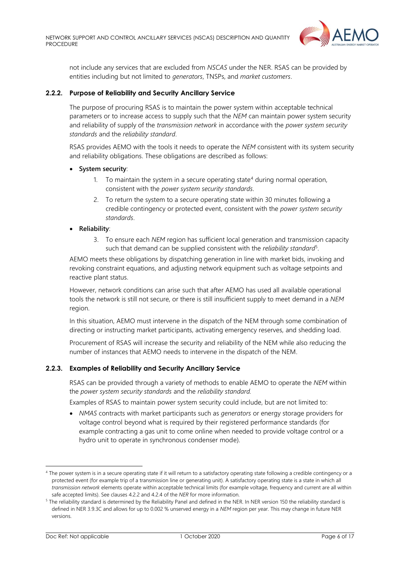

not include any services that are excluded from *NSCAS* under the NER. RSAS can be provided by entities including but not limited to *generators*, TNSPs, and *market customers*.

### **2.2.2. Purpose of Reliability and Security Ancillary Service**

The purpose of procuring RSAS is to maintain the power system within acceptable technical parameters or to increase access to supply such that the *NEM* can maintain power system security and reliability of supply of the *transmission network* in accordance with the *power system security standards* and the *reliability standard*.

RSAS provides AEMO with the tools it needs to operate the *NEM* consistent with its system security and reliability obligations. These obligations are described as follows:

- **System security**:
	- 1. To maintain the system in a secure operating state<sup>4</sup> during normal operation, consistent with the *power system security standards*.
	- 2. To return the system to a secure operating state within 30 minutes following a credible contingency or protected event, consistent with the *power system security standards*.

#### • **Reliability**:

3. To ensure each *NEM* region has sufficient local generation and transmission capacity such that demand can be supplied consistent with the *reliability standard*<sup>5</sup> .

AEMO meets these obligations by dispatching generation in line with market bids, invoking and revoking constraint equations, and adjusting network equipment such as voltage setpoints and reactive plant status.

However, network conditions can arise such that after AEMO has used all available operational tools the network is still not secure, or there is still insufficient supply to meet demand in a *NEM* region.

In this situation, AEMO must intervene in the dispatch of the NEM through some combination of directing or instructing market participants, activating emergency reserves, and shedding load.

Procurement of RSAS will increase the security and reliability of the NEM while also reducing the number of instances that AEMO needs to intervene in the dispatch of the NEM.

#### **2.2.3. Examples of Reliability and Security Ancillary Service**

RSAS can be provided through a variety of methods to enable AEMO to operate the *NEM* within the *power system security standards* and the *reliability standard.*

Examples of RSAS to maintain power system security could include, but are not limited to:

• *NMAS* contracts with market participants such as *generators* or energy storage providers for voltage control beyond what is required by their registered performance standards (for example contracting a gas unit to come online when needed to provide voltage control or a hydro unit to operate in synchronous condenser mode).

<sup>&</sup>lt;sup>4</sup> The power system is in a secure operating state if it will return to a satisfactory operating state following a credible contingency or a protected event (for example trip of a transmission line or generating unit). A satisfactory operating state is a state in which all *transmission network* elements operate within acceptable technical limits (for example voltage, frequency and current are all within safe accepted limits). See clauses 4.2.2 and 4.2.4 of the *NER* for more information.

<sup>5</sup> The reliability standard is determined by the Reliability Panel and defined in the NER. In NER version 150 the reliability standard is defined in NER 3.9.3C and allows for up to 0.002 % unserved energy in a *NEM* region per year. This may change in future NER versions.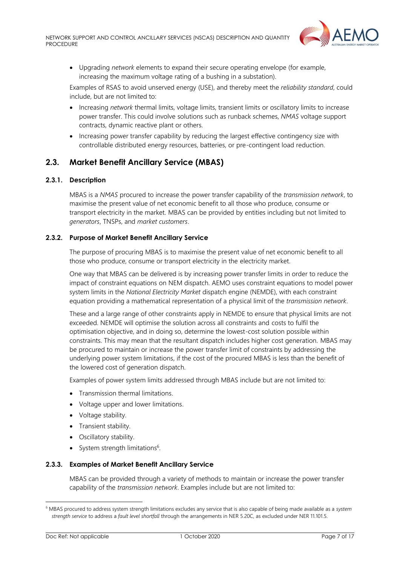

• Upgrading *network* elements to expand their secure operating envelope (for example, increasing the maximum voltage rating of a bushing in a substation).

Examples of RSAS to avoid unserved energy (USE), and thereby meet the *reliability standard*, could include, but are not limited to:

- Increasing *network* thermal limits, voltage limits, transient limits or oscillatory limits to increase power transfer. This could involve solutions such as runback schemes, *NMAS* voltage support contracts, dynamic reactive plant or others.
- Increasing power transfer capability by reducing the largest effective contingency size with controllable distributed energy resources, batteries, or pre-contingent load reduction.

## <span id="page-6-0"></span>**2.3. Market Benefit Ancillary Service (MBAS)**

#### **2.3.1. Description**

MBAS is a *NMAS* procured to increase the power transfer capability of the *transmission network*, to maximise the present value of net economic benefit to all those who produce, consume or transport electricity in the market. MBAS can be provided by entities including but not limited to *generators*, TNSPs, and *market customers*.

#### **2.3.2. Purpose of Market Benefit Ancillary Service**

The purpose of procuring MBAS is to maximise the present value of net economic benefit to all those who produce, consume or transport electricity in the electricity market.

One way that MBAS can be delivered is by increasing power transfer limits in order to reduce the impact of constraint equations on NEM dispatch. AEMO uses constraint equations to model power system limits in the *National Electricity Market* dispatch engine (NEMDE), with each constraint equation providing a mathematical representation of a physical limit of the *transmission network*.

These and a large range of other constraints apply in NEMDE to ensure that physical limits are not exceeded. NEMDE will optimise the solution across all constraints and costs to fulfil the optimisation objective, and in doing so, determine the lowest-cost solution possible within constraints. This may mean that the resultant dispatch includes higher cost generation. MBAS may be procured to maintain or increase the power transfer limit of constraints by addressing the underlying power system limitations, if the cost of the procured MBAS is less than the benefit of the lowered cost of generation dispatch.

Examples of power system limits addressed through MBAS include but are not limited to:

- Transmission thermal limitations.
- Voltage upper and lower limitations.
- Voltage stability.
- Transient stability.
- Oscillatory stability.
- System strength limitations<sup>6</sup>.

#### **2.3.3. Examples of Market Benefit Ancillary Service**

MBAS can be provided through a variety of methods to maintain or increase the power transfer capability of the *transmission network*. Examples include but are not limited to:

<sup>6</sup> MBAS procured to address system strength limitations excludes any service that is also capable of being made available as a *system strength service* to address a *fault level shortfall* through the arrangements in NER 5.20C, as excluded under NER 11.101.5.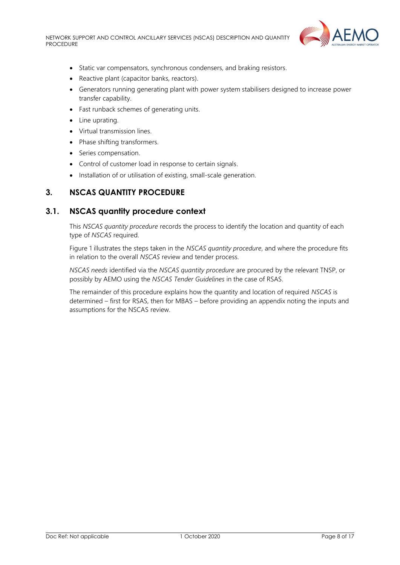

- Static var compensators, synchronous condensers, and braking resistors.
- Reactive plant (capacitor banks, reactors).
- Generators running generating plant with power system stabilisers designed to increase power transfer capability.
- Fast runback schemes of generating units.
- Line uprating.
- Virtual transmission lines.
- Phase shifting transformers.
- Series compensation.
- Control of customer load in response to certain signals.
- Installation of or utilisation of existing, small-scale generation.

## <span id="page-7-0"></span>**3. NSCAS QUANTITY PROCEDURE**

## <span id="page-7-1"></span>**3.1. NSCAS quantity procedure context**

This *NSCAS quantity procedure* records the process to identify the location and quantity of each type of *NSCAS* required.

[Figure 1](#page-7-2) illustrates the steps taken in the *NSCAS quantity procedure*, and where the procedure fits in relation to the overall *NSCAS* review and tender process.

*NSCAS needs* identified via the *NSCAS quantity procedure* are procured by the relevant TNSP, or possibly by AEMO using the *NSCAS Tender Guidelines* in the case of RSAS.

<span id="page-7-2"></span>The remainder of this procedure explains how the quantity and location of required *NSCAS* is determined – first for RSAS, then for MBAS – before providing an appendix noting the inputs and assumptions for the NSCAS review.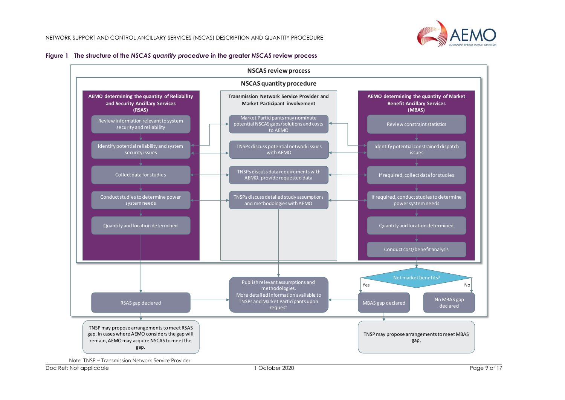



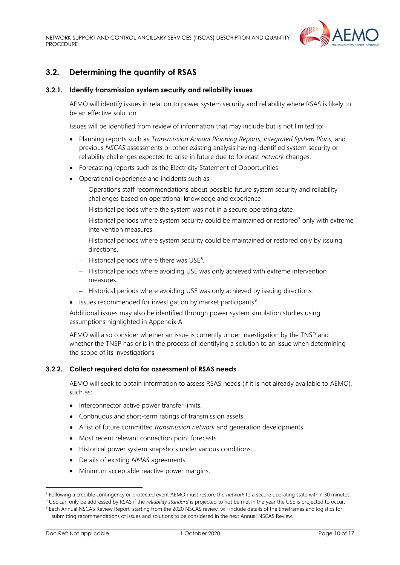

# <span id="page-9-0"></span>**3.2. Determining the quantity of RSAS**

#### **3.2.1. Identify transmission system security and reliability issues**

AEMO will identify issues in relation to power system security and reliability where RSAS is likely to be an effective solution.

Issues will be identified from review of information that may include but is not limited to:

- Planning reports such as *Transmission Annual Planning Reports*, *Integrated System Plans,* and previous *NSCAS* assessments or other existing analysis having identified system security or reliability challenges expected to arise in future due to forecast *network* changes.
- Forecasting reports such as the Electricity Statement of Opportunities.
- Operational experience and incidents such as:
	- − Operations staff recommendations about possible future system security and reliability challenges based on operational knowledge and experience.
	- − Historical periods where the system was not in a secure operating state.
	- − Historical periods where system security could be maintained or restored<sup>7</sup> only with extreme intervention measures.
	- − Historical periods where system security could be maintained or restored only by issuing directions.
	- − Historical periods where there was USE<sup>8</sup>.
	- − Historical periods where avoiding USE was only achieved with extreme intervention measures.
	- − Historical periods where avoiding USE was only achieved by issuing directions.
- Issues recommended for investigation by market participants<sup>9</sup>.

Additional issues may also be identified through power system simulation studies using assumptions highlighted in Appendix A.

AEMO will also consider whether an issue is currently under investigation by the TNSP and whether the TNSP has or is in the process of identifying a solution to an issue when determining the scope of its investigations.

#### <span id="page-9-1"></span>**3.2.2. Collect required data for assessment of RSAS needs**

AEMO will seek to obtain information to assess RSAS needs (if it is not already available to AEMO), such as:

- Interconnector active power transfer limits.
- Continuous and short-term ratings of transmission assets.
- A list of future committed *transmission network* and generation developments.
- Most recent relevant connection point forecasts.
- Historical power system snapshots under various conditions.
- Details of existing *NMAS* agreements.
- Minimum acceptable reactive power margins.

<sup>7</sup> Following a credible contingency or protected event AEMO must restore the *network* to a secure operating state within 30 minutes.

<sup>&</sup>lt;sup>8</sup> USE can only be addressed by RSAS if the *reliability standard* is projected to not be met in the year the USE is projected to occur.

<sup>9</sup> Each Annual NSCAS Review Report, starting from the 2020 NSCAS review, will include details of the timeframes and logistics for submitting recommendations of issues and solutions to be considered in the next Annual NSCAS Review.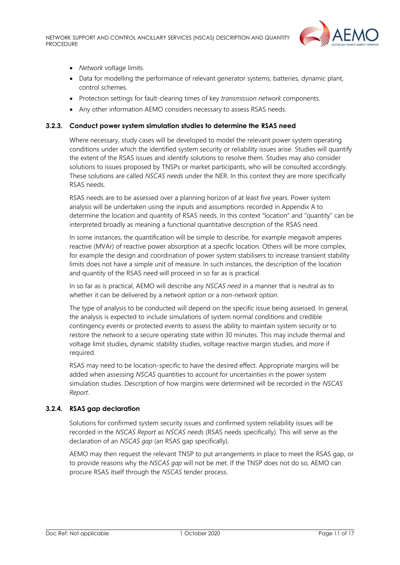

- *Network* voltage limits.
- Data for modelling the performance of relevant generator systems, batteries, dynamic plant, control schemes.
- Protection settings for fault-clearing times of key *transmission network* components.
- Any other information AEMO considers necessary to assess RSAS needs.

#### **3.2.3. Conduct power system simulation studies to determine the RSAS need**

Where necessary, study cases will be developed to model the relevant power system operating conditions under which the identified system security or reliability issues arise. Studies will quantify the extent of the RSAS issues and identify solutions to resolve them. Studies may also consider solutions to issues proposed by TNSPs or market participants, who will be consulted accordingly. These solutions are called *NSCAS needs* under the NER. In this context they are more specifically RSAS needs.

RSAS needs are to be assessed over a planning horizon of at least five years. Power system analysis will be undertaken using the inputs and assumptions recorded in Appendix A to determine the location and quantity of RSAS needs. In this context "location" and "quantity" can be interpreted broadly as meaning a functional quantitative description of the RSAS need.

In some instances, the quantification will be simple to describe, for example megavolt amperes reactive (MVAr) of reactive power absorption at a specific location. Others will be more complex, for example the design and coordination of power system stabilisers to increase transient stability limits does not have a simple unit of measure. In such instances, the description of the location and quantity of the RSAS need will proceed in so far as is practical.

In so far as is practical, AEMO will describe any *NSCAS need* in a manner that is neutral as to whether it can be delivered by a *network option* or a *non-network option*.

The type of analysis to be conducted will depend on the specific issue being assessed. In general, the analysis is expected to include simulations of system normal conditions and credible contingency events or protected events to assess the ability to maintain system security or to restore the *network* to a secure operating state within 30 minutes. This may include thermal and voltage limit studies, dynamic stability studies, voltage reactive margin studies, and more if required.

RSAS may need to be location-specific to have the desired effect. Appropriate margins will be added when assessing *NSCAS* quantities to account for uncertainties in the power system simulation studies. Description of how margins were determined will be recorded in the *NSCAS Report*.

#### **3.2.4. RSAS gap declaration**

Solutions for confirmed system security issues and confirmed system reliability issues will be recorded in the *NSCAS Report* as *NSCAS needs* (RSAS needs specifically). This will serve as the declaration of an *NSCAS gap* (an RSAS gap specifically).

AEMO may then request the relevant TNSP to put arrangements in place to meet the RSAS gap, or to provide reasons why the *NSCAS gap* will not be met. If the TNSP does not do so, AEMO can procure RSAS itself through the *NSCAS* tender process.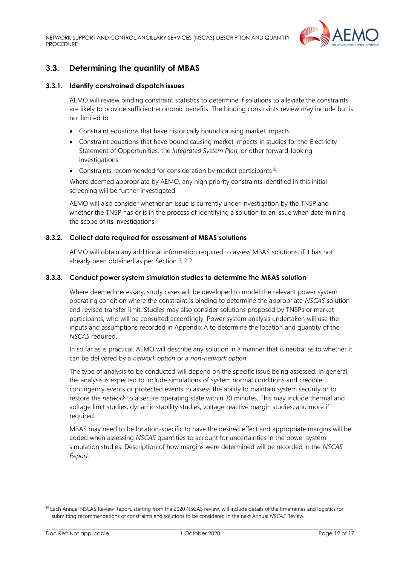

# <span id="page-11-0"></span>**3.3. Determining the quantity of MBAS**

#### **3.3.1. Identify constrained dispatch issues**

AEMO will review binding constraint statistics to determine if solutions to alleviate the constraints are likely to provide sufficient economic benefits. The binding constraints review may include but is not limited to:

- Constraint equations that have historically bound causing market impacts.
- Constraint equations that have bound causing market impacts in studies for the Electricity Statement of Opportunities*,* the *Integrated System Plan*, or other forward-looking investigations.
- Constraints recommended for consideration by market participants<sup>10</sup>.

Where deemed appropriate by AEMO, any high priority constraints identified in this initial screening will be further investigated.

AEMO will also consider whether an issue is currently under investigation by the TNSP and whether the TNSP has or is in the process of identifying a solution to an issue when determining the scope of its investigations.

#### **3.3.2. Collect data required for assessment of MBAS solutions**

AEMO will obtain any additional information required to assess MBAS solutions, if it has not already been obtained as per Sectio[n 3.2.2.](#page-9-1)

#### **3.3.3. Conduct power system simulation studies to determine the MBAS solution**

Where deemed necessary, study cases will be developed to model the relevant power system operating condition where the constraint is binding to determine the appropriate *NSCAS* solution and revised transfer limit. Studies may also consider solutions proposed by TNSPs or market participants, who will be consulted accordingly. Power system analysis undertaken will use the inputs and assumptions recorded in Appendix A to determine the location and quantity of the *NSCAS* required.

In so far as is practical, AEMO will describe any solution in a manner that is neutral as to whether it can be delivered by a *network option* or a *non-network option*.

The type of analysis to be conducted will depend on the specific issue being assessed. In general, the analysis is expected to include simulations of system normal conditions and credible contingency events or protected events to assess the ability to maintain system security or to restore the *network* to a secure operating state within 30 minutes. This may include thermal and voltage limit studies, dynamic stability studies, voltage reactive margin studies, and more if required.

MBAS may need to be location-specific to have the desired effect and appropriate margins will be added when assessing *NSCAS* quantities to account for uncertainties in the power system simulation studies. Description of how margins were determined will be recorded in the *NSCAS Report*.

<sup>&</sup>lt;sup>10</sup> Each Annual NSCAS Review Report, starting from the 2020 NSCAS review, will include details of the timeframes and logistics for submitting recommendations of constraints and solutions to be considered in the next Annual *NSCAS* Review.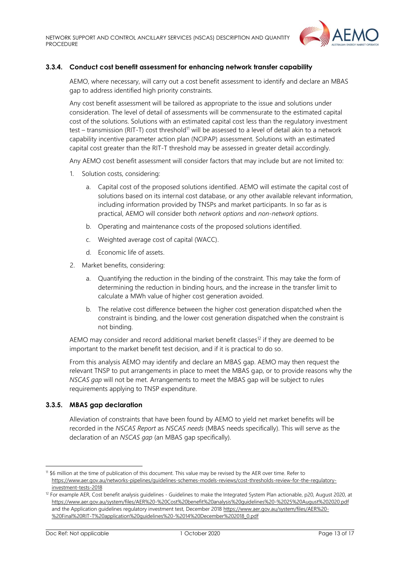

## **3.3.4. Conduct cost benefit assessment for enhancing network transfer capability**

AEMO, where necessary, will carry out a cost benefit assessment to identify and declare an MBAS gap to address identified high priority constraints.

Any cost benefit assessment will be tailored as appropriate to the issue and solutions under consideration. The level of detail of assessments will be commensurate to the estimated capital cost of the solutions. Solutions with an estimated capital cost less than the regulatory investment test – transmission (RIT-T) cost threshold<sup>11</sup> will be assessed to a level of detail akin to a network capability incentive parameter action plan (NCIPAP) assessment. Solutions with an estimated capital cost greater than the RIT-T threshold may be assessed in greater detail accordingly.

Any AEMO cost benefit assessment will consider factors that may include but are not limited to:

- 1. Solution costs, considering:
	- a. Capital cost of the proposed solutions identified. AEMO will estimate the capital cost of solutions based on its internal cost database, or any other available relevant information, including information provided by TNSPs and market participants. In so far as is practical, AEMO will consider both *network options* and *non-network options*.
	- b. Operating and maintenance costs of the proposed solutions identified.
	- c. Weighted average cost of capital (WACC).
	- d. Economic life of assets.
- 2. Market benefits, considering:
	- a. Quantifying the reduction in the binding of the constraint. This may take the form of determining the reduction in binding hours, and the increase in the transfer limit to calculate a MWh value of higher cost generation avoided.
	- b. The relative cost difference between the higher cost generation dispatched when the constraint is binding, and the lower cost generation dispatched when the constraint is not binding.

AEMO may consider and record additional market benefit classes<sup>12</sup> if they are deemed to be important to the market benefit test decision, and if it is practical to do so.

From this analysis AEMO may identify and declare an MBAS gap. AEMO may then request the relevant TNSP to put arrangements in place to meet the MBAS gap, or to provide reasons why the *NSCAS gap* will not be met. Arrangements to meet the MBAS gap will be subject to rules requirements applying to TNSP expenditure.

#### **3.3.5. MBAS gap declaration**

Alleviation of constraints that have been found by AEMO to yield net market benefits will be recorded in the *NSCAS Report* as *NSCAS needs* (MBAS needs specifically). This will serve as the declaration of an *NSCAS gap* (an MBAS gap specifically).

<sup>11</sup> \$6 million at the time of publication of this document. This value may be revised by the AER over time. Refer to [https://www.aer.gov.au/networks-pipelines/guidelines-schemes-models-reviews/cost-thresholds-review-for-the-regulatory](https://www.aer.gov.au/networks-pipelines/guidelines-schemes-models-reviews/cost-thresholds-review-for-the-regulatory-investment-tests-2018)[investment-tests-2018](https://www.aer.gov.au/networks-pipelines/guidelines-schemes-models-reviews/cost-thresholds-review-for-the-regulatory-investment-tests-2018)

<sup>&</sup>lt;sup>12</sup> For example AER, Cost benefit analysis guidelines - Guidelines to make the Integrated System Plan actionable, p20, August 2020, at <https://www.aer.gov.au/system/files/AER%20-%20Cost%20benefit%20analysis%20guidelines%20-%2025%20August%202020.pdf> and the Application guidelines regulatory investment test, December 201[8 https://www.aer.gov.au/system/files/AER%20-](https://www.aer.gov.au/system/files/AER%20-%20Final%20RIT-T%20application%20guidelines%20-%2014%20December%202018_0.pdf) [%20Final%20RIT-T%20application%20guidelines%20-%2014%20December%202018\\_0.pdf](https://www.aer.gov.au/system/files/AER%20-%20Final%20RIT-T%20application%20guidelines%20-%2014%20December%202018_0.pdf)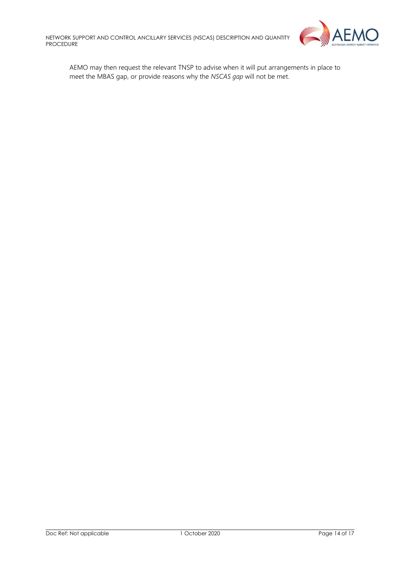

AEMO may then request the relevant TNSP to advise when it will put arrangements in place to meet the MBAS gap, or provide reasons why the *NSCAS gap* will not be met.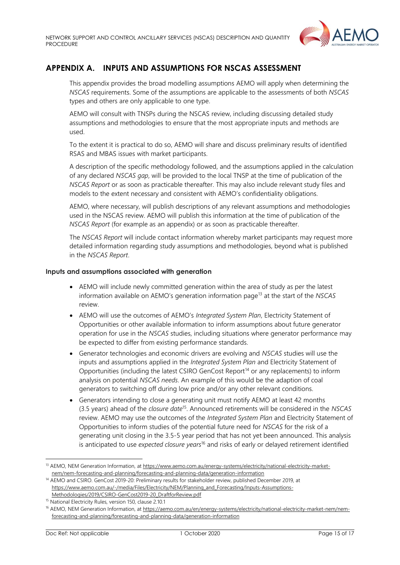

# <span id="page-14-0"></span>**APPENDIX A. INPUTS AND ASSUMPTIONS FOR NSCAS ASSESSMENT**

This appendix provides the broad modelling assumptions AEMO will apply when determining the *NSCAS* requirements. Some of the assumptions are applicable to the assessments of both *NSCAS* types and others are only applicable to one type.

AEMO will consult with TNSPs during the NSCAS review, including discussing detailed study assumptions and methodologies to ensure that the most appropriate inputs and methods are used.

To the extent it is practical to do so, AEMO will share and discuss preliminary results of identified RSAS and MBAS issues with market participants.

A description of the specific methodology followed, and the assumptions applied in the calculation of any declared *NSCAS gap*, will be provided to the local TNSP at the time of publication of the *NSCAS Report* or as soon as practicable thereafter. This may also include relevant study files and models to the extent necessary and consistent with AEMO's confidentiality obligations.

AEMO, where necessary, will publish descriptions of any relevant assumptions and methodologies used in the NSCAS review. AEMO will publish this information at the time of publication of the *NSCAS Report* (for example as an appendix) or as soon as practicable thereafter.

The *NSCAS Report* will include contact information whereby market participants may request more detailed information regarding study assumptions and methodologies, beyond what is published in the *NSCAS Report*.

#### **Inputs and assumptions associated with generation**

- AEMO will include newly committed generation within the area of study as per the latest information available on AEMO's generation information page<sup>13</sup> at the start of the *NSCAS* review.
- AEMO will use the outcomes of AEMO's *Integrated System Plan*, Electricity Statement of Opportunities or other available information to inform assumptions about future generator operation for use in the *NSCAS* studies, including situations where generator performance may be expected to differ from existing performance standards.
- Generator technologies and economic drivers are evolving and *NSCAS* studies will use the inputs and assumptions applied in the *Integrated System Plan* and Electricity Statement of Opportunities (including the latest CSIRO GenCost Report<sup>14</sup> or any replacements) to inform analysis on potential *NSCAS needs*. An example of this would be the adaption of coal generators to switching off during low price and/or any other relevant conditions.
- Generators intending to close a generating unit must notify AEMO at least 42 months (3.5 years) ahead of the *closure date*<sup>15</sup> . Announced retirements will be considered in the *NSCAS* review. AEMO may use the outcomes of the *Integrated System Plan* and Electricity Statement of Opportunities to inform studies of the potential future need for *NSCAS* for the risk of a generating unit closing in the 3.5-5 year period that has not yet been announced. This analysis is anticipated to use *expected closure years*<sup>16</sup> and risks of early or delayed retirement identified

<sup>13</sup> AEMO, NEM Generation Information, at [https://www.aemo.com.au/energy-systems/electricity/national-electricity-market](https://www.aemo.com.au/energy-systems/electricity/national-electricity-market-nem/nem-forecasting-and-planning/forecasting-and-planning-data/generation-information)[nem/nem-forecasting-and-planning/forecasting-and-planning-data/generation-information](https://www.aemo.com.au/energy-systems/electricity/national-electricity-market-nem/nem-forecasting-and-planning/forecasting-and-planning-data/generation-information)

<sup>14</sup> AEMO and CSIRO. GenCost 2019-20: Preliminary results for stakeholder review, published December 2019, at [https://www.aemo.com.au/-/media/Files/Electricity/NEM/Planning\\_and\\_Forecasting/Inputs-Assumptions-](https://www.aemo.com.au/-/media/Files/Electricity/NEM/Planning_and_Forecasting/Inputs-Assumptions-Methodologies/2019/CSIRO-GenCost2019-20_DraftforReview.pdf)[Methodologies/2019/CSIRO-GenCost2019-20\\_DraftforReview.pdf](https://www.aemo.com.au/-/media/Files/Electricity/NEM/Planning_and_Forecasting/Inputs-Assumptions-Methodologies/2019/CSIRO-GenCost2019-20_DraftforReview.pdf)

<sup>&</sup>lt;sup>15</sup> National Electricity Rules, version 150, clause 2.10.1

<sup>&</sup>lt;sup>16</sup> AEMO, NEM Generation Information, at [https://aemo.com.au/en/energy-systems/electricity/national-electricity-market-nem/nem](https://aemo.com.au/en/energy-systems/electricity/national-electricity-market-nem/nem-forecasting-and-planning/forecasting-and-planning-data/generation-information)[forecasting-and-planning/forecasting-and-planning-data/generation-information](https://aemo.com.au/en/energy-systems/electricity/national-electricity-market-nem/nem-forecasting-and-planning/forecasting-and-planning-data/generation-information)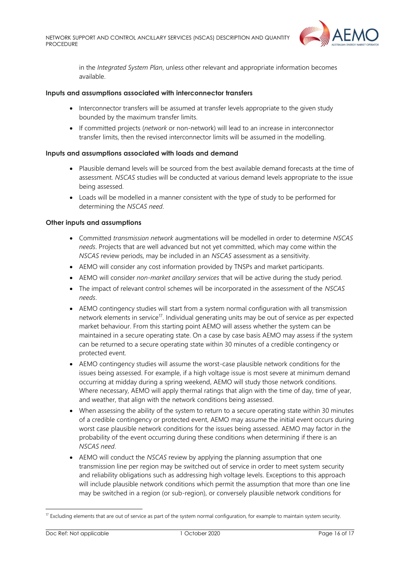

in the *Integrated System Plan*, unless other relevant and appropriate information becomes available.

#### **Inputs and assumptions associated with interconnector transfers**

- Interconnector transfers will be assumed at transfer levels appropriate to the given study bounded by the maximum transfer limits.
- If committed projects (*network* or non-network) will lead to an increase in interconnector transfer limits, then the revised interconnector limits will be assumed in the modelling.

#### **Inputs and assumptions associated with loads and demand**

- Plausible demand levels will be sourced from the best available demand forecasts at the time of assessment. *NSCAS* studies will be conducted at various demand levels appropriate to the issue being assessed.
- Loads will be modelled in a manner consistent with the type of study to be performed for determining the *NSCAS need*.

#### **Other inputs and assumptions**

- Committed *transmission network* augmentations will be modelled in order to determine *NSCAS needs*. Projects that are well advanced but not yet committed, which may come within the *NSCAS* review periods, may be included in an *NSCAS* assessment as a sensitivity.
- AEMO will consider any cost information provided by TNSPs and market participants.
- AEMO will consider *non-market ancillary services* that will be active during the study period.
- The impact of relevant control schemes will be incorporated in the assessment of the *NSCAS needs*.
- AEMO contingency studies will start from a system normal configuration with all transmission network elements in service<sup>17</sup>. Individual generating units may be out of service as per expected market behaviour. From this starting point AEMO will assess whether the system can be maintained in a secure operating state. On a case by case basis AEMO may assess if the system can be returned to a secure operating state within 30 minutes of a credible contingency or protected event.
- AEMO contingency studies will assume the worst-case plausible network conditions for the issues being assessed. For example, if a high voltage issue is most severe at minimum demand occurring at midday during a spring weekend, AEMO will study those network conditions. Where necessary, AEMO will apply thermal ratings that align with the time of day, time of year, and weather, that align with the network conditions being assessed.
- When assessing the ability of the system to return to a secure operating state within 30 minutes of a credible contingency or protected event, AEMO may assume the initial event occurs during worst case plausible network conditions for the issues being assessed. AEMO may factor in the probability of the event occurring during these conditions when determining if there is an *NSCAS need*.
- AEMO will conduct the *NSCAS* review by applying the planning assumption that one transmission line per region may be switched out of service in order to meet system security and reliability obligations such as addressing high voltage levels. Exceptions to this approach will include plausible network conditions which permit the assumption that more than one line may be switched in a region (or sub-region), or conversely plausible network conditions for

 $17$  Excluding elements that are out of service as part of the system normal configuration, for example to maintain system security.